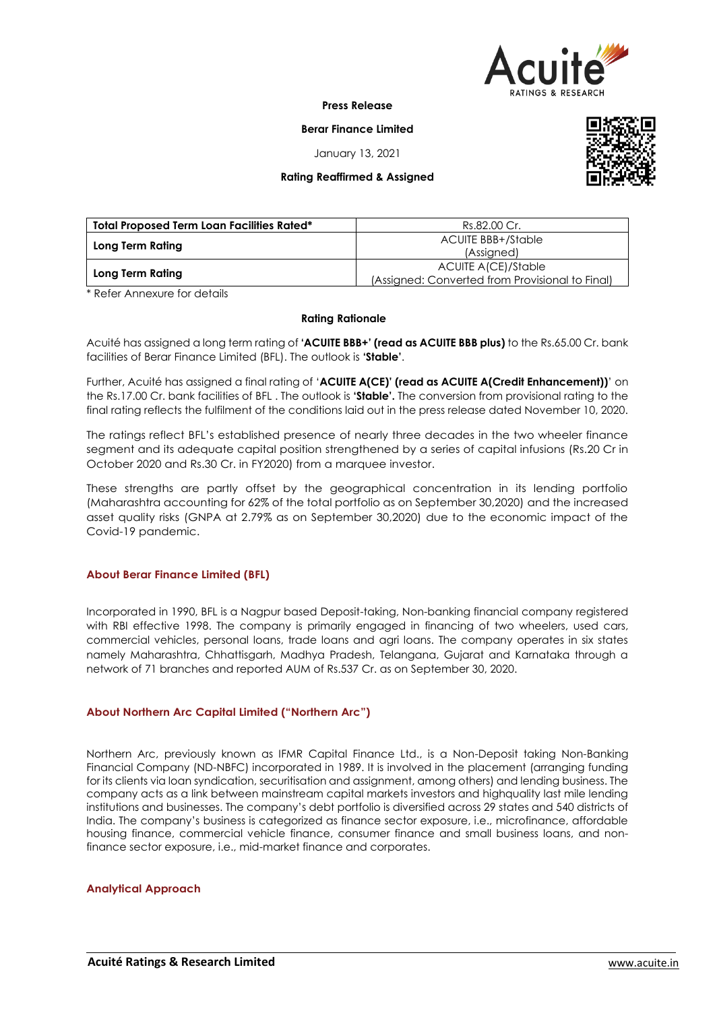

**Press Release**

**Berar Finance Limited**

January 13, 2021

# **Rating Reaffirmed & Assigned**



| <b>Total Proposed Term Loan Facilities Rated*</b> | Rs.82.00 Cr.                                    |  |  |  |
|---------------------------------------------------|-------------------------------------------------|--|--|--|
|                                                   | <b>ACUITE BBB+/Stable</b>                       |  |  |  |
| Long Term Rating                                  | (Assigned)                                      |  |  |  |
|                                                   | ACUITE A(CE)/Stable                             |  |  |  |
| Long Term Rating                                  | (Assigned: Converted from Provisional to Final) |  |  |  |

\* Refer Annexure for details

### **Rating Rationale**

Acuité has assigned a long term rating of **'ACUITE BBB+' (read as ACUITE BBB plus)** to the Rs.65.00 Cr. bank facilities of Berar Finance Limited (BFL). The outlook is **'Stable'**.

Further, Acuité has assigned a final rating of '**ACUITE A(CE)' (read as ACUITE A(Credit Enhancement))**' on the Rs.17.00 Cr. bank facilities of BFL . The outlook is **'Stable'.** The conversion from provisional rating to the final rating reflects the fulfilment of the conditions laid out in the press release dated November 10, 2020.

The ratings reflect BFL's established presence of nearly three decades in the two wheeler finance segment and its adequate capital position strengthened by a series of capital infusions (Rs.20 Cr in October 2020 and Rs.30 Cr. in FY2020) from a marquee investor.

These strengths are partly offset by the geographical concentration in its lending portfolio (Maharashtra accounting for 62% of the total portfolio as on September 30,2020) and the increased asset quality risks (GNPA at 2.79% as on September 30,2020) due to the economic impact of the Covid-19 pandemic.

## **About Berar Finance Limited (BFL)**

Incorporated in 1990, BFL is a Nagpur based Deposit-taking, Non-banking financial company registered with RBI effective 1998. The company is primarily engaged in financing of two wheelers, used cars, commercial vehicles, personal loans, trade loans and agri loans. The company operates in six states namely Maharashtra, Chhattisgarh, Madhya Pradesh, Telangana, Gujarat and Karnataka through a network of 71 branches and reported AUM of Rs.537 Cr. as on September 30, 2020.

## **About Northern Arc Capital Limited ("Northern Arc")**

Northern Arc, previously known as IFMR Capital Finance Ltd., is a Non-Deposit taking Non-Banking Financial Company (ND-NBFC) incorporated in 1989. It is involved in the placement (arranging funding for its clients via loan syndication, securitisation and assignment, among others) and lending business. The company acts as a link between mainstream capital markets investors and highquality last mile lending institutions and businesses. The company's debt portfolio is diversified across 29 states and 540 districts of India. The company's business is categorized as finance sector exposure, i.e., microfinance, affordable housing finance, commercial vehicle finance, consumer finance and small business loans, and nonfinance sector exposure, i.e., mid-market finance and corporates.

## **Analytical Approach**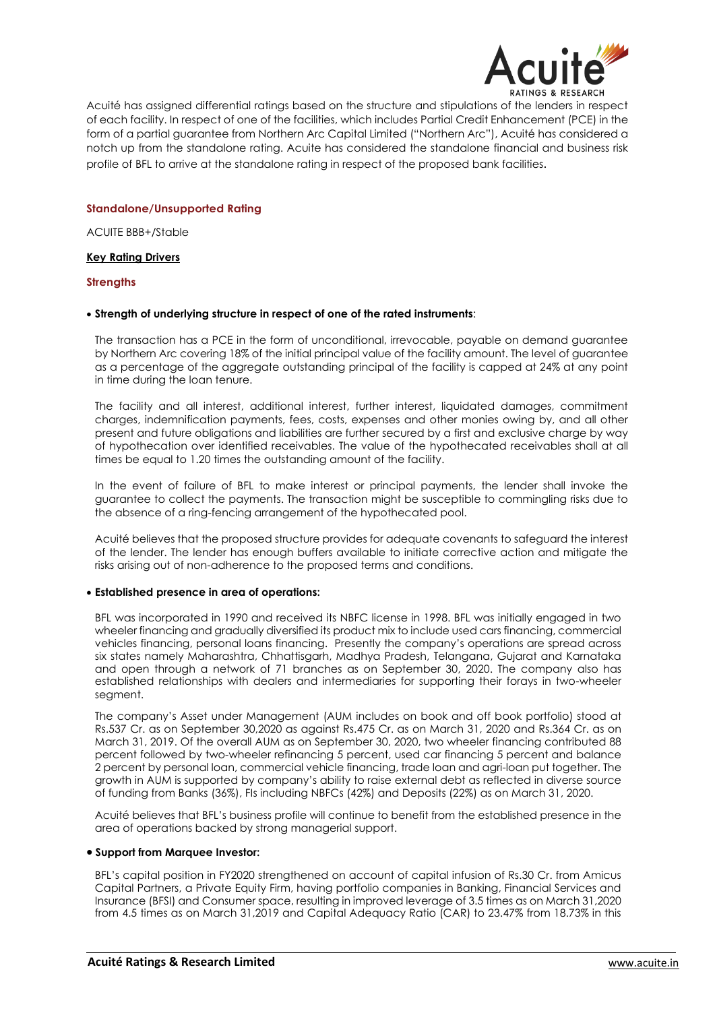

Acuité has assigned differential ratings based on the structure and stipulations of the lenders in respect of each facility. In respect of one of the facilities, which includes Partial Credit Enhancement (PCE) in the form of a partial guarantee from Northern Arc Capital Limited ("Northern Arc"), Acuité has considered a notch up from the standalone rating. Acuite has considered the standalone financial and business risk profile of BFL to arrive at the standalone rating in respect of the proposed bank facilities.

# **Standalone/Unsupported Rating**

ACUITE BBB+/Stable

## **Key Rating Drivers**

## **Strengths**

## **Strength of underlying structure in respect of one of the rated instruments**:

The transaction has a PCE in the form of unconditional, irrevocable, payable on demand guarantee by Northern Arc covering 18% of the initial principal value of the facility amount. The level of guarantee as a percentage of the aggregate outstanding principal of the facility is capped at 24% at any point in time during the loan tenure.

The facility and all interest, additional interest, further interest, liquidated damages, commitment charges, indemnification payments, fees, costs, expenses and other monies owing by, and all other present and future obligations and liabilities are further secured by a first and exclusive charge by way of hypothecation over identified receivables. The value of the hypothecated receivables shall at all times be equal to 1.20 times the outstanding amount of the facility.

In the event of failure of BFL to make interest or principal payments, the lender shall invoke the guarantee to collect the payments. The transaction might be susceptible to commingling risks due to the absence of a ring-fencing arrangement of the hypothecated pool.

Acuité believes that the proposed structure provides for adequate covenants to safeguard the interest of the lender. The lender has enough buffers available to initiate corrective action and mitigate the risks arising out of non-adherence to the proposed terms and conditions.

## **Established presence in area of operations:**

BFL was incorporated in 1990 and received its NBFC license in 1998. BFL was initially engaged in two wheeler financing and gradually diversified its product mix to include used cars financing, commercial vehicles financing, personal loans financing. Presently the company's operations are spread across six states namely Maharashtra, Chhattisgarh, Madhya Pradesh, Telangana, Gujarat and Karnataka and open through a network of 71 branches as on September 30, 2020. The company also has established relationships with dealers and intermediaries for supporting their forays in two-wheeler segment.

The company's Asset under Management (AUM includes on book and off book portfolio) stood at Rs.537 Cr. as on September 30,2020 as against Rs.475 Cr. as on March 31, 2020 and Rs.364 Cr. as on March 31, 2019. Of the overall AUM as on September 30, 2020, two wheeler financing contributed 88 percent followed by two-wheeler refinancing 5 percent, used car financing 5 percent and balance 2 percent by personal loan, commercial vehicle financing, trade loan and agri-loan put together. The growth in AUM is supported by company's ability to raise external debt as reflected in diverse source of funding from Banks (36%), FIs including NBFCs (42%) and Deposits (22%) as on March 31, 2020.

Acuité believes that BFL's business profile will continue to benefit from the established presence in the area of operations backed by strong managerial support.

### **Support from Marquee Investor:**

BFL's capital position in FY2020 strengthened on account of capital infusion of Rs.30 Cr. from Amicus Capital Partners, a Private Equity Firm, having portfolio companies in Banking, Financial Services and Insurance (BFSI) and Consumer space, resulting in improved leverage of 3.5 times as on March 31,2020 from 4.5 times as on March 31,2019 and Capital Adequacy Ratio (CAR) to 23.47% from 18.73% in this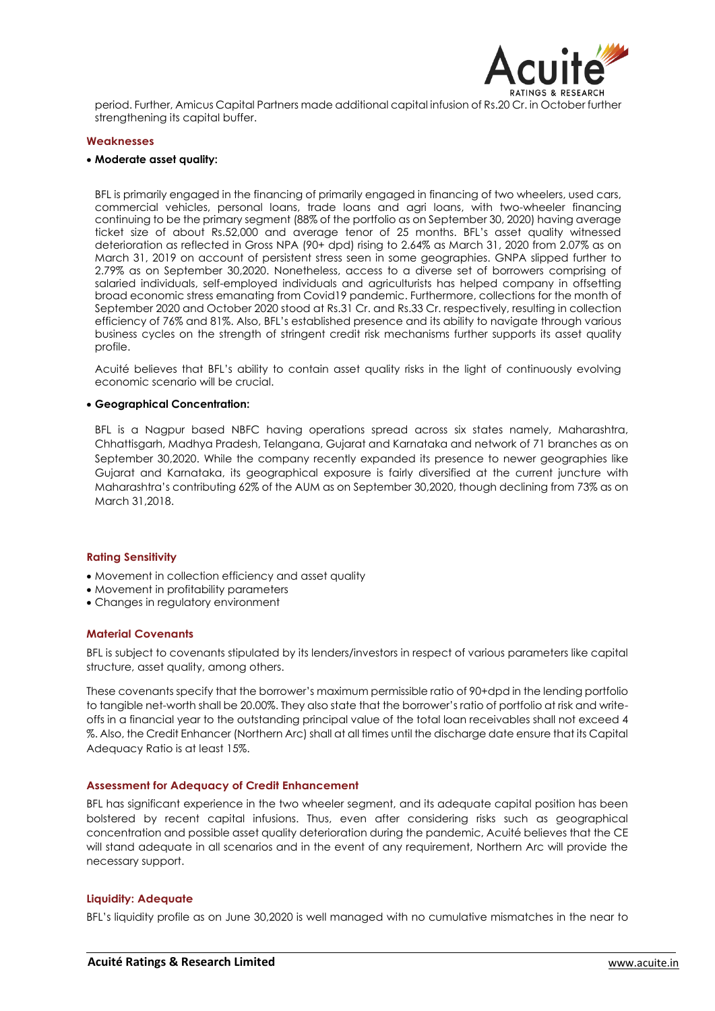

period. Further, Amicus Capital Partners made additional capital infusion of Rs.20 Cr. in October further strengthening its capital buffer.

#### **Weaknesses**

### **Moderate asset quality:**

BFL is primarily engaged in the financing of primarily engaged in financing of two wheelers, used cars, commercial vehicles, personal loans, trade loans and agri loans, with two-wheeler financing continuing to be the primary segment (88% of the portfolio as on September 30, 2020) having average ticket size of about Rs.52,000 and average tenor of 25 months. BFL's asset quality witnessed deterioration as reflected in Gross NPA (90+ dpd) rising to 2.64% as March 31, 2020 from 2.07% as on March 31, 2019 on account of persistent stress seen in some geographies. GNPA slipped further to 2.79% as on September 30,2020. Nonetheless, access to a diverse set of borrowers comprising of salaried individuals, self-employed individuals and agriculturists has helped company in offsetting broad economic stress emanating from Covid19 pandemic. Furthermore, collections for the month of September 2020 and October 2020 stood at Rs.31 Cr. and Rs.33 Cr. respectively, resulting in collection efficiency of 76% and 81%. Also, BFL's established presence and its ability to navigate through various business cycles on the strength of stringent credit risk mechanisms further supports its asset quality profile.

Acuité believes that BFL's ability to contain asset quality risks in the light of continuously evolving economic scenario will be crucial.

### **Geographical Concentration:**

BFL is a Nagpur based NBFC having operations spread across six states namely, Maharashtra, Chhattisgarh, Madhya Pradesh, Telangana, Gujarat and Karnataka and network of 71 branches as on September 30,2020. While the company recently expanded its presence to newer geographies like Gujarat and Karnataka, its geographical exposure is fairly diversified at the current juncture with Maharashtra's contributing 62% of the AUM as on September 30,2020, though declining from 73% as on March 31,2018.

### **Rating Sensitivity**

- Movement in collection efficiency and asset quality
- Movement in profitability parameters
- Changes in regulatory environment

#### **Material Covenants**

BFL is subject to covenants stipulated by its lenders/investors in respect of various parameters like capital structure, asset quality, among others.

These covenants specify that the borrower's maximum permissible ratio of 90+dpd in the lending portfolio to tangible net-worth shall be 20.00%. They also state that the borrower's ratio of portfolio at risk and writeoffs in a financial year to the outstanding principal value of the total loan receivables shall not exceed 4 %. Also, the Credit Enhancer (Northern Arc) shall at all times until the discharge date ensure that its Capital Adequacy Ratio is at least 15%.

### **Assessment for Adequacy of Credit Enhancement**

BFL has significant experience in the two wheeler segment, and its adequate capital position has been bolstered by recent capital infusions. Thus, even after considering risks such as geographical concentration and possible asset quality deterioration during the pandemic, Acuité believes that the CE will stand adequate in all scenarios and in the event of any requirement, Northern Arc will provide the necessary support.

### **Liquidity: Adequate**

BFL's liquidity profile as on June 30,2020 is well managed with no cumulative mismatches in the near to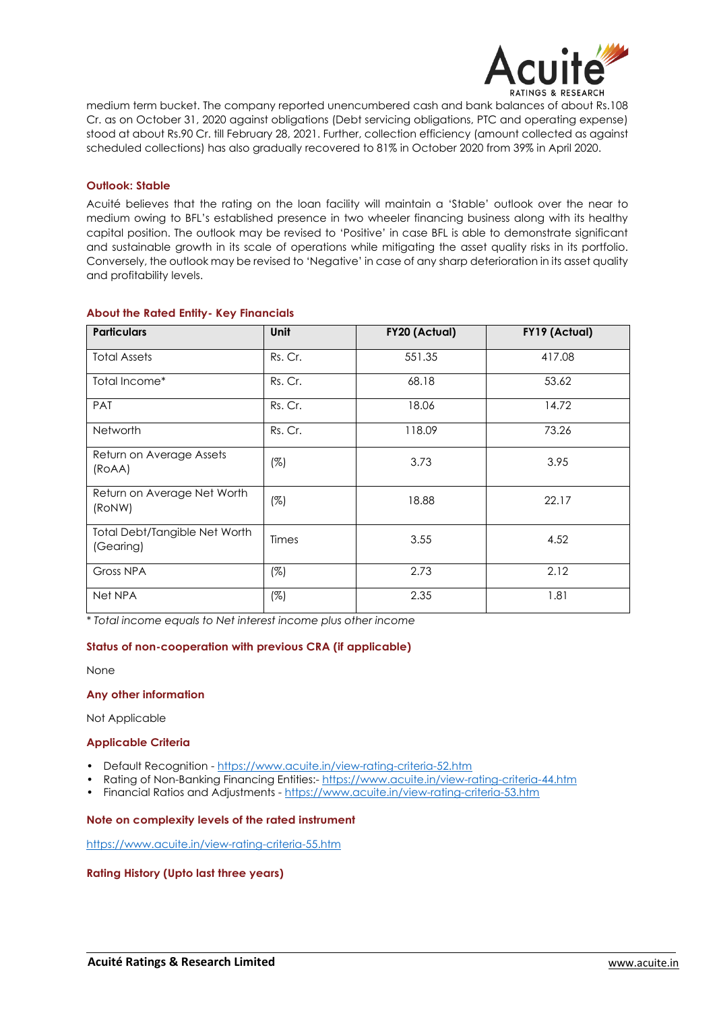

medium term bucket. The company reported unencumbered cash and bank balances of about Rs.108 Cr. as on October 31, 2020 against obligations (Debt servicing obligations, PTC and operating expense) stood at about Rs.90 Cr. till February 28, 2021. Further, collection efficiency (amount collected as against scheduled collections) has also gradually recovered to 81% in October 2020 from 39% in April 2020.

# **Outlook: Stable**

Acuité believes that the rating on the loan facility will maintain a 'Stable' outlook over the near to medium owing to BFL's established presence in two wheeler financing business along with its healthy capital position. The outlook may be revised to 'Positive' in case BFL is able to demonstrate significant and sustainable growth in its scale of operations while mitigating the asset quality risks in its portfolio. Conversely, the outlook may be revised to 'Negative' in case of any sharp deterioration in its asset quality and profitability levels.

| <b>Particulars</b>                         | <b>Unit</b> | FY20 (Actual) | FY19 (Actual) |
|--------------------------------------------|-------------|---------------|---------------|
| <b>Total Assets</b>                        | Rs. Cr.     | 551.35        | 417.08        |
| Total Income*                              | Rs. Cr.     | 68.18         | 53.62         |
| <b>PAT</b>                                 | Rs. Cr.     | 18.06         | 14.72         |
| <b>Networth</b>                            | Rs. Cr.     | 118.09        | 73.26         |
| Return on Average Assets<br>(ROAA)         | $(\%)$      | 3.73          | 3.95          |
| Return on Average Net Worth<br>(RoNW)      | $(\%)$      | 18.88         | 22.17         |
| Total Debt/Tangible Net Worth<br>(Gearing) | Times       | 3.55          | 4.52          |
| Gross NPA                                  | (%)         | 2.73          | 2.12          |
| Net NPA                                    | $(\%)$      | 2.35          | 1.81          |

# **About the Rated Entity- Key Financials**

*\* Total income equals to Net interest income plus other income*

## **Status of non-cooperation with previous CRA (if applicable)**

None

## **Any other information**

Not Applicable

## **Applicable Criteria**

- Default Recognition https://www.acuite.in/view-rating-criteria-52.htm
- Rating of Non-Banking Financing Entities:- https://www.acuite.in/view-rating-criteria-44.htm
- Financial Ratios and Adjustments https://www.acuite.in/view-rating-criteria-53.htm

## **Note on complexity levels of the rated instrument**

https://www.acuite.in/view-rating-criteria-55.htm

### **Rating History (Upto last three years)**